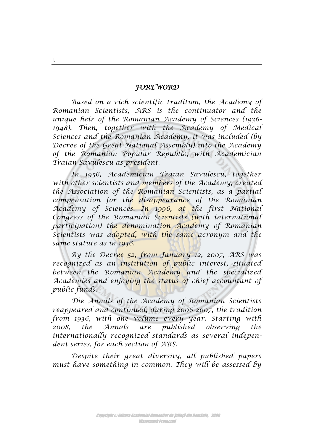## *FOREWORD*

*Based on a rich scientific tradition, the Academy of Romanian Scientists, ARS is the continuator and the unique heir of the Romanian Academy of Sciences (1936- 1948). Then, together with the Academy of Medical Sciences and the Romanian Academy, it was included (by Decree of the Great National Assembly) into the Academy of the Romanian Popular Republic, with Academician Traian Savulescu as president.* 

*In 1956, Academician Traian Savulescu, together with other scientists and members of the Academy, created the Association of the Romanian Scientists, as a partial compensation for the disappearance of the Romanian Academy of Sciences. In 1996, at the first National Congress of the Romanian Scientists (with international participation) the denomination Academy of Romanian Scientists was adopted, with the same acronym and the same statute as in 1936.* 

*By the Decree 52, from January 12, 2007, ARS was recognized as an institution of public interest, situated between the Romanian Academy and the specialized Academies and enjoying the status of chief accountant of public funds.* 

*The Annals of the Academy of Romanian Scientists reappeared and continued, during 2006-2007, the tradition from 1936, with one volume every year. Starting with 2008, the Annals are published observing the internationally recognized standards as several independent series, for each section of ARS.* 

*Despite their great diversity, all published papers must have something in common. They will be assessed by* 

5